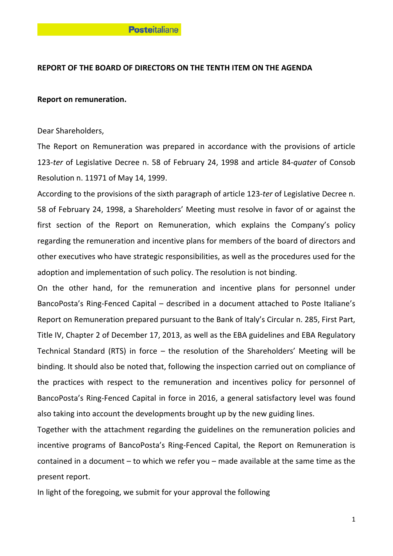## **REPORT OF THE BOARD OF DIRECTORS ON THE TENTH ITEM ON THE AGENDA**

## **Report on remuneration.**

## Dear Shareholders,

The Report on Remuneration was prepared in accordance with the provisions of article 123-*ter* of Legislative Decree n. 58 of February 24, 1998 and article 84-*quater* of Consob Resolution n. 11971 of May 14, 1999.

According to the provisions of the sixth paragraph of article 123-*ter* of Legislative Decree n. 58 of February 24, 1998, a Shareholders' Meeting must resolve in favor of or against the first section of the Report on Remuneration, which explains the Company's policy regarding the remuneration and incentive plans for members of the board of directors and other executives who have strategic responsibilities, as well as the procedures used for the adoption and implementation of such policy. The resolution is not binding.

On the other hand, for the remuneration and incentive plans for personnel under BancoPosta's Ring-Fenced Capital – described in a document attached to Poste Italiane's Report on Remuneration prepared pursuant to the Bank of Italy's Circular n. 285, First Part, Title IV, Chapter 2 of December 17, 2013, as well as the EBA guidelines and EBA Regulatory Technical Standard (RTS) in force – the resolution of the Shareholders' Meeting will be binding. It should also be noted that, following the inspection carried out on compliance of the practices with respect to the remuneration and incentives policy for personnel of BancoPosta's Ring-Fenced Capital in force in 2016, a general satisfactory level was found also taking into account the developments brought up by the new guiding lines.

Together with the attachment regarding the guidelines on the remuneration policies and incentive programs of BancoPosta's Ring-Fenced Capital, the Report on Remuneration is contained in a document – to which we refer you – made available at the same time as the present report.

In light of the foregoing, we submit for your approval the following

1